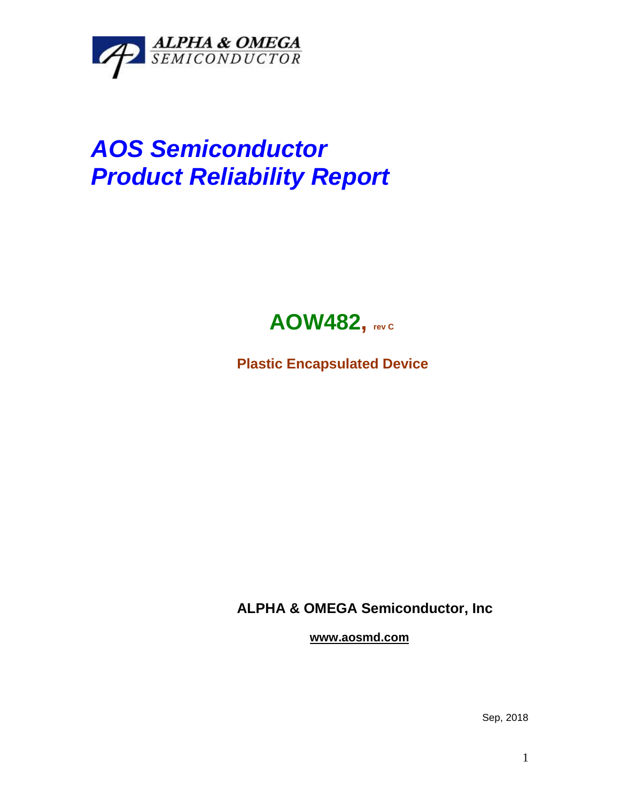

## *AOS Semiconductor Product Reliability Report*



**Plastic Encapsulated Device**

**ALPHA & OMEGA Semiconductor, Inc**

**www.aosmd.com**

Sep, 2018